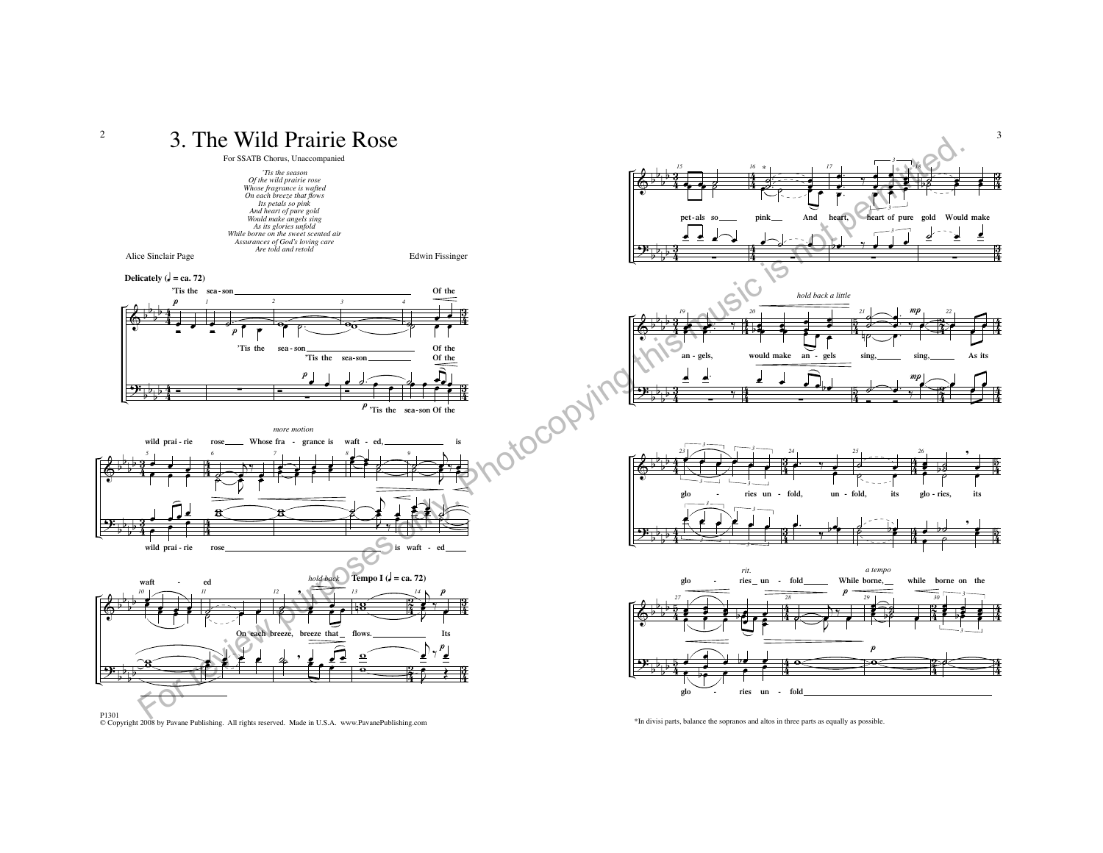

© Copyright 2008 by Pavane Publishing. All rights reserved. Made in U.S.A. www.PavanePublishing.com

\*In divisi parts, balance the sopranos and altos in three parts as equally as possible.